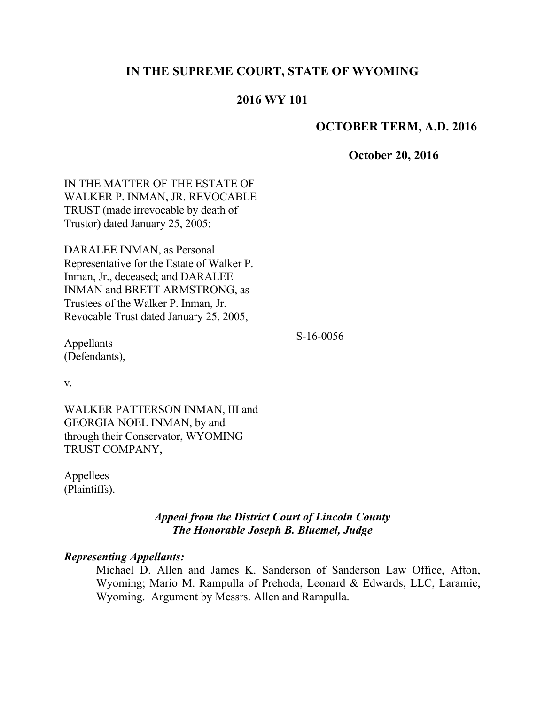# **IN THE SUPREME COURT, STATE OF WYOMING**

## **2016 WY 101**

## **OCTOBER TERM, A.D. 2016**

### **October 20, 2016**

| IN THE MATTER OF THE ESTATE OF<br>WALKER P. INMAN, JR. REVOCABLE<br>TRUST (made irrevocable by death of<br>Trustor) dated January 25, 2005:                                                                                       |             |
|-----------------------------------------------------------------------------------------------------------------------------------------------------------------------------------------------------------------------------------|-------------|
| DARALEE INMAN, as Personal<br>Representative for the Estate of Walker P.<br>Inman, Jr., deceased; and DARALEE<br>INMAN and BRETT ARMSTRONG, as<br>Trustees of the Walker P. Inman, Jr.<br>Revocable Trust dated January 25, 2005, |             |
| Appellants<br>(Defendants),                                                                                                                                                                                                       | $S-16-0056$ |
| $V_{\cdot}$                                                                                                                                                                                                                       |             |
| WALKER PATTERSON INMAN, III and<br>GEORGIA NOEL INMAN, by and<br>through their Conservator, WYOMING<br>TRUST COMPANY,                                                                                                             |             |
| Appellees<br>(Plaintiffs).                                                                                                                                                                                                        |             |

*Appeal from the District Court of Lincoln County The Honorable Joseph B. Bluemel, Judge*

#### *Representing Appellants:*

Michael D. Allen and James K. Sanderson of Sanderson Law Office, Afton, Wyoming; Mario M. Rampulla of Prehoda, Leonard & Edwards, LLC, Laramie, Wyoming. Argument by Messrs. Allen and Rampulla.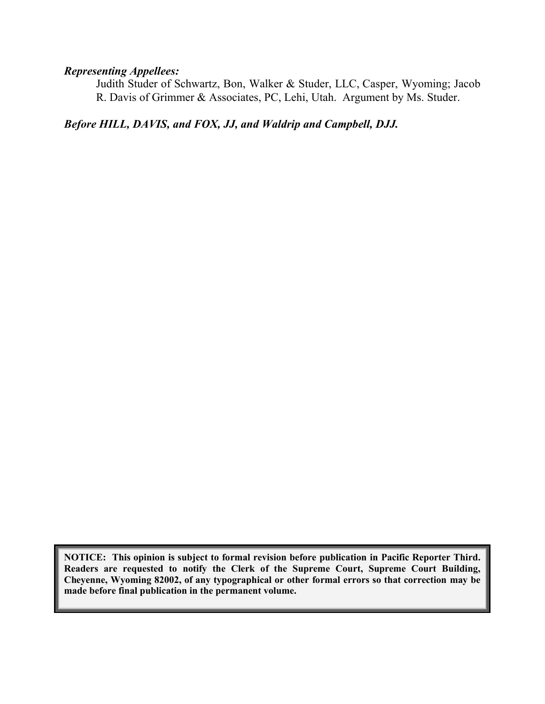## *Representing Appellees:*

Judith Studer of Schwartz, Bon, Walker & Studer, LLC, Casper, Wyoming; Jacob R. Davis of Grimmer & Associates, PC, Lehi, Utah. Argument by Ms. Studer.

*Before HILL, DAVIS, and FOX, JJ, and Waldrip and Campbell, DJJ.*

**NOTICE: This opinion is subject to formal revision before publication in Pacific Reporter Third. Readers are requested to notify the Clerk of the Supreme Court, Supreme Court Building, Cheyenne, Wyoming 82002, of any typographical or other formal errors so that correction may be made before final publication in the permanent volume.**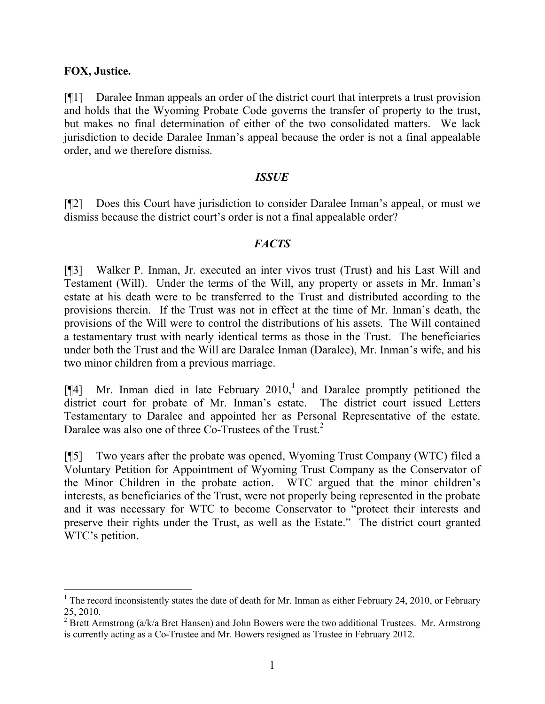### **FOX, Justice.**

[¶1] Daralee Inman appeals an order of the district court that interprets a trust provision and holds that the Wyoming Probate Code governs the transfer of property to the trust, but makes no final determination of either of the two consolidated matters. We lack jurisdiction to decide Daralee Inman's appeal because the order is not a final appealable order, and we therefore dismiss.

#### *ISSUE*

[¶2] Does this Court have jurisdiction to consider Daralee Inman's appeal, or must we dismiss because the district court's order is not a final appealable order?

## *FACTS*

[¶3] Walker P. Inman, Jr. executed an inter vivos trust (Trust) and his Last Will and Testament (Will). Under the terms of the Will, any property or assets in Mr. Inman's estate at his death were to be transferred to the Trust and distributed according to the provisions therein. If the Trust was not in effect at the time of Mr. Inman's death, the provisions of the Will were to control the distributions of his assets. The Will contained a testamentary trust with nearly identical terms as those in the Trust. The beneficiaries under both the Trust and the Will are Daralee Inman (Daralee), Mr. Inman's wife, and his two minor children from a previous marriage.

[ $[$ 4] Mr. Inman died in late February 2010,<sup>1</sup> and Daralee promptly petitioned the district court for probate of Mr. Inman's estate. The district court issued Letters Testamentary to Daralee and appointed her as Personal Representative of the estate. Daralee was also one of three Co-Trustees of the Trust.<sup>2</sup>

[¶5] Two years after the probate was opened, Wyoming Trust Company (WTC) filed a Voluntary Petition for Appointment of Wyoming Trust Company as the Conservator of the Minor Children in the probate action. WTC argued that the minor children's interests, as beneficiaries of the Trust, were not properly being represented in the probate and it was necessary for WTC to become Conservator to "protect their interests and preserve their rights under the Trust, as well as the Estate." The district court granted WTC's petition.

<sup>&</sup>lt;sup>1</sup> The record inconsistently states the date of death for Mr. Inman as either February 24, 2010, or February 25, 2010.

 $2$  Brett Armstrong (a/k/a Bret Hansen) and John Bowers were the two additional Trustees. Mr. Armstrong is currently acting as a Co-Trustee and Mr. Bowers resigned as Trustee in February 2012.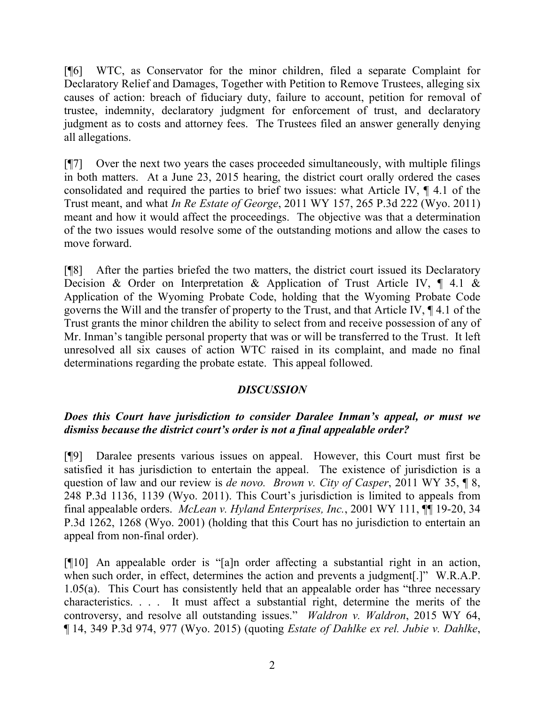[¶6] WTC, as Conservator for the minor children, filed a separate Complaint for Declaratory Relief and Damages, Together with Petition to Remove Trustees, alleging six causes of action: breach of fiduciary duty, failure to account, petition for removal of trustee, indemnity, declaratory judgment for enforcement of trust, and declaratory judgment as to costs and attorney fees. The Trustees filed an answer generally denying all allegations.

[¶7] Over the next two years the cases proceeded simultaneously, with multiple filings in both matters. At a June 23, 2015 hearing, the district court orally ordered the cases consolidated and required the parties to brief two issues: what Article IV, ¶ 4.1 of the Trust meant, and what *In Re Estate of George*, 2011 WY 157, 265 P.3d 222 (Wyo. 2011) meant and how it would affect the proceedings. The objective was that a determination of the two issues would resolve some of the outstanding motions and allow the cases to move forward.

[¶8] After the parties briefed the two matters, the district court issued its Declaratory Decision & Order on Interpretation & Application of Trust Article IV, ¶ 4.1 & Application of the Wyoming Probate Code, holding that the Wyoming Probate Code governs the Will and the transfer of property to the Trust, and that Article IV, ¶ 4.1 of the Trust grants the minor children the ability to select from and receive possession of any of Mr. Inman's tangible personal property that was or will be transferred to the Trust. It left unresolved all six causes of action WTC raised in its complaint, and made no final determinations regarding the probate estate. This appeal followed.

## *DISCUSSION*

# *Does this Court have jurisdiction to consider Daralee Inman's appeal, or must we dismiss because the district court's order is not a final appealable order?*

[¶9] Daralee presents various issues on appeal. However, this Court must first be satisfied it has jurisdiction to entertain the appeal. The existence of jurisdiction is a question of law and our review is *de novo. Brown v. City of Casper*, 2011 WY 35, ¶ 8, 248 P.3d 1136, 1139 (Wyo. 2011). This Court's jurisdiction is limited to appeals from final appealable orders. *McLean v. Hyland Enterprises, Inc.*, 2001 WY 111, ¶¶ 19-20, 34 P.3d 1262, 1268 (Wyo. 2001) (holding that this Court has no jurisdiction to entertain an appeal from non-final order).

[¶10] An appealable order is "[a]n order affecting a substantial right in an action, when such order, in effect, determines the action and prevents a judgment.<sup>[1]</sup> W.R.A.P. 1.05(a). This Court has consistently held that an appealable order has "three necessary characteristics. . . . It must affect a substantial right, determine the merits of the controversy, and resolve all outstanding issues." *Waldron v. Waldron*, 2015 WY 64, ¶ 14, 349 P.3d 974, 977 (Wyo. 2015) (quoting *Estate of Dahlke ex rel. Jubie v. Dahlke*,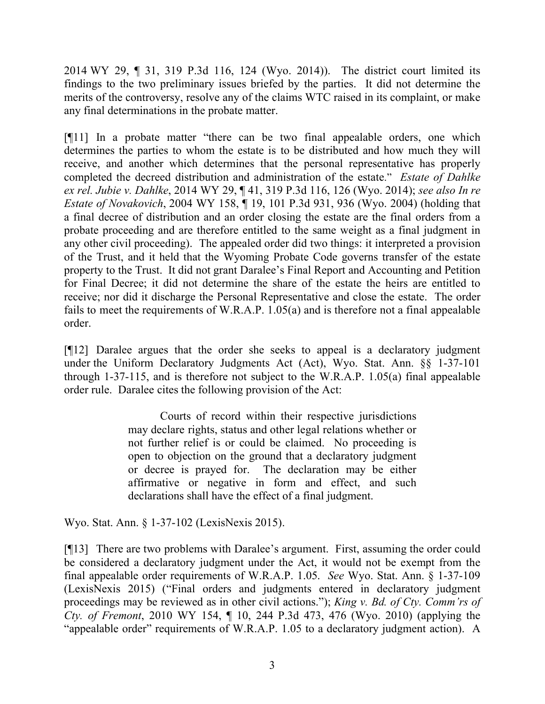2014 WY 29, ¶ 31, 319 P.3d 116, 124 (Wyo. 2014)). The district court limited its findings to the two preliminary issues briefed by the parties. It did not determine the merits of the controversy, resolve any of the claims WTC raised in its complaint, or make any final determinations in the probate matter.

[¶11] In a probate matter "there can be two final appealable orders, one which determines the parties to whom the estate is to be distributed and how much they will receive, and another which determines that the personal representative has properly completed the decreed distribution and administration of the estate." *Estate of Dahlke ex rel. Jubie v. Dahlke*, 2014 WY 29, ¶ 41, 319 P.3d 116, 126 (Wyo. 2014); *see also In re Estate of Novakovich*, 2004 WY 158, ¶ 19, 101 P.3d 931, 936 (Wyo. 2004) (holding that a final decree of distribution and an order closing the estate are the final orders from a probate proceeding and are therefore entitled to the same weight as a final judgment in any other civil proceeding). The appealed order did two things: it interpreted a provision of the Trust, and it held that the Wyoming Probate Code governs transfer of the estate property to the Trust. It did not grant Daralee's Final Report and Accounting and Petition for Final Decree; it did not determine the share of the estate the heirs are entitled to receive; nor did it discharge the Personal Representative and close the estate. The order fails to meet the requirements of W.R.A.P. 1.05(a) and is therefore not a final appealable order.

[¶12] Daralee argues that the order she seeks to appeal is a declaratory judgment under the Uniform Declaratory Judgments Act (Act), Wyo. Stat. Ann. §§ 1-37-101 through 1-37-115, and is therefore not subject to the W.R.A.P. 1.05(a) final appealable order rule. Daralee cites the following provision of the Act:

> Courts of record within their respective jurisdictions may declare rights, status and other legal relations whether or not further relief is or could be claimed. No proceeding is open to objection on the ground that a declaratory judgment or decree is prayed for. The declaration may be either affirmative or negative in form and effect, and such declarations shall have the effect of a final judgment.

Wyo. Stat. Ann. § 1-37-102 (LexisNexis 2015).

[¶13] There are two problems with Daralee's argument. First, assuming the order could be considered a declaratory judgment under the Act, it would not be exempt from the final appealable order requirements of W.R.A.P. 1.05. *See* Wyo. Stat. Ann. § 1-37-109 (LexisNexis 2015) ("Final orders and judgments entered in declaratory judgment proceedings may be reviewed as in other civil actions."); *King v. Bd. of Cty. Comm'rs of Cty. of Fremont*, 2010 WY 154, ¶ 10, 244 P.3d 473, 476 (Wyo. 2010) (applying the "appealable order" requirements of W.R.A.P. 1.05 to a declaratory judgment action). A